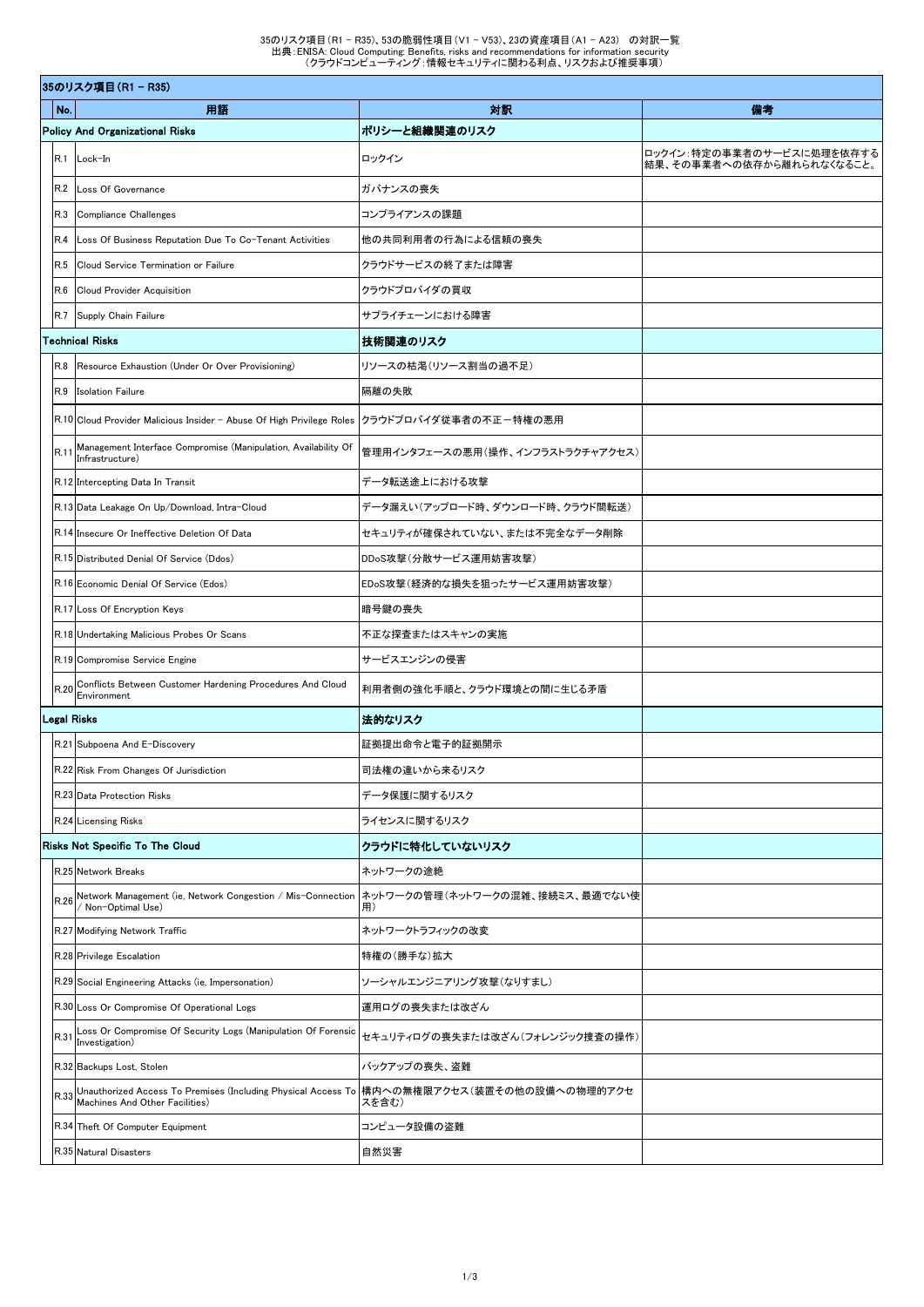|                                        | 35のリスク項目 (R1 - R35) |                                                                                                                               |                                       |                                                        |  |  |
|----------------------------------------|---------------------|-------------------------------------------------------------------------------------------------------------------------------|---------------------------------------|--------------------------------------------------------|--|--|
| No.                                    |                     | 用語                                                                                                                            | 対訳                                    | 備考                                                     |  |  |
| <b>Policy And Organizational Risks</b> |                     |                                                                                                                               | ポリシーと組織関連のリスク                         |                                                        |  |  |
|                                        | R.1                 | Lock-In                                                                                                                       | ロックイン                                 | ロックイン:特定の事業者のサービスに処理を依存する<br>結果、その事業者への依存から離れられなくなること。 |  |  |
|                                        | R.2                 | Loss Of Governance                                                                                                            | ガバナンスの喪失                              |                                                        |  |  |
|                                        | R.3                 | <b>Compliance Challenges</b>                                                                                                  | コンプライアンスの課題                           |                                                        |  |  |
|                                        | <b>R.4</b>          | Loss Of Business Reputation Due To Co-Tenant Activities                                                                       | 他の共同利用者の行為による信頼の喪失                    |                                                        |  |  |
|                                        | R.5                 | Cloud Service Termination or Failure                                                                                          | クラウドサービスの終了または障害                      |                                                        |  |  |
|                                        | R.6                 | <b>Cloud Provider Acquisition</b>                                                                                             | クラウドプロバイダの買収                          |                                                        |  |  |
|                                        | R.7                 | Supply Chain Failure                                                                                                          | サプライチェーンにおける障害                        |                                                        |  |  |
| <b>Technical Risks</b>                 |                     |                                                                                                                               | 技術関連のリスク                              |                                                        |  |  |
|                                        | R.8                 | Resource Exhaustion (Under Or Over Provisioning)                                                                              | リソースの枯渇(リソース割当の過不足)                   |                                                        |  |  |
|                                        | R.9                 | <b>Isolation Failure</b>                                                                                                      | 隔離の失敗                                 |                                                        |  |  |
|                                        |                     | R.10 Cloud Provider Malicious Insider - Abuse Of High Privilege Roles                                                         | クラウドプロバイダ従事者の不正-特権の悪用                 |                                                        |  |  |
|                                        | R.1                 | Management Interface Compromise (Manipulation, Availability Of<br>Infrastructure)                                             | 管理用インタフェースの悪用(操作、インフラストラクチャアクセス)      |                                                        |  |  |
|                                        |                     | R.12 Intercepting Data In Transit                                                                                             | データ転送途上における攻撃                         |                                                        |  |  |
|                                        |                     | R.13 Data Leakage On Up/Download, Intra-Cloud                                                                                 | データ漏えい(アップロード時、ダウンロード時、クラウド間転送)       |                                                        |  |  |
|                                        |                     | R.14 Insecure Or Ineffective Deletion Of Data                                                                                 | セキュリティが確保されていない、または不完全なデータ削除          |                                                        |  |  |
|                                        |                     | R.15 Distributed Denial Of Service (Ddos)                                                                                     | DDoS攻撃(分散サービス運用妨害攻撃)                  |                                                        |  |  |
|                                        |                     | R.16 Economic Denial Of Service (Edos)                                                                                        | EDoS攻撃(経済的な損失を狙ったサービス運用妨害攻撃)          |                                                        |  |  |
|                                        |                     | R.17 Loss Of Encryption Keys                                                                                                  | 暗号鍵の喪失                                |                                                        |  |  |
|                                        |                     | R.18 Undertaking Malicious Probes Or Scans                                                                                    | 不正な探査またはスキャンの実施                       |                                                        |  |  |
|                                        |                     | R.19 Compromise Service Engine                                                                                                | サービスエンジンの侵害                           |                                                        |  |  |
|                                        | R.20                | Conflicts Between Customer Hardening Procedures And Cloud<br>Environment                                                      | 利用者側の強化手順と、クラウド環境との間に生じる矛盾            |                                                        |  |  |
|                                        |                     | Legal Risks                                                                                                                   | 法的なリスク                                |                                                        |  |  |
|                                        |                     | R.21 Subpoena And E-Discovery                                                                                                 | 証拠提出命令と電子的証拠開示                        |                                                        |  |  |
|                                        |                     | R.22 Risk From Changes Of Jurisdiction                                                                                        | 司法権の違いから来るリスク                         |                                                        |  |  |
|                                        |                     | R.23 Data Protection Risks                                                                                                    | データ保護に関するリスク                          |                                                        |  |  |
|                                        |                     | R.24 Licensing Risks                                                                                                          | ライセンスに関するリスク                          |                                                        |  |  |
|                                        |                     | Risks Not Specific To The Cloud                                                                                               | クラウドに特化していないリスク                       |                                                        |  |  |
|                                        |                     | R.25 Network Breaks                                                                                                           | ネットワークの途絶                             |                                                        |  |  |
|                                        |                     | R.26 Network Management (ie, Network Congestion / Mis-Connection<br>/ Non-Optimal Use)                                        | ネットワークの管理(ネットワークの混雑、接続ミス、最適でない使<br>用) |                                                        |  |  |
|                                        |                     | R.27 Modifying Network Traffic                                                                                                | ネットワークトラフィックの改変                       |                                                        |  |  |
|                                        |                     | R.28 Privilege Escalation                                                                                                     | 特権の(勝手な)拡大                            |                                                        |  |  |
|                                        |                     | R.29 Social Engineering Attacks (ie, Impersonation)                                                                           | ソーシャルエンジニアリング攻撃(なりすまし)                |                                                        |  |  |
|                                        |                     | R.30 Loss Or Compromise Of Operational Logs                                                                                   | 運用ログの喪失または改ざん                         |                                                        |  |  |
|                                        | R.31                | Loss Or Compromise Of Security Logs (Manipulation Of Forensic<br>Investigation)                                               | セキュリティログの喪失または改ざん(フォレンジック捜査の操作)       |                                                        |  |  |
|                                        |                     | R.32 Backups Lost, Stolen                                                                                                     | バックアップの喪失、盗難                          |                                                        |  |  |
|                                        | R.33                | Unauthorized Access To Premises (Including Physical Access To  構内への無権限アクセス(装置その他の設備への物理的アクセ<br>Machines And Other Facilities) | スを含む)                                 |                                                        |  |  |
|                                        |                     | R.34 Theft Of Computer Equipment                                                                                              | コンピュータ設備の盗難                           |                                                        |  |  |
|                                        |                     | R.35 Natural Disasters                                                                                                        | 自然災害                                  |                                                        |  |  |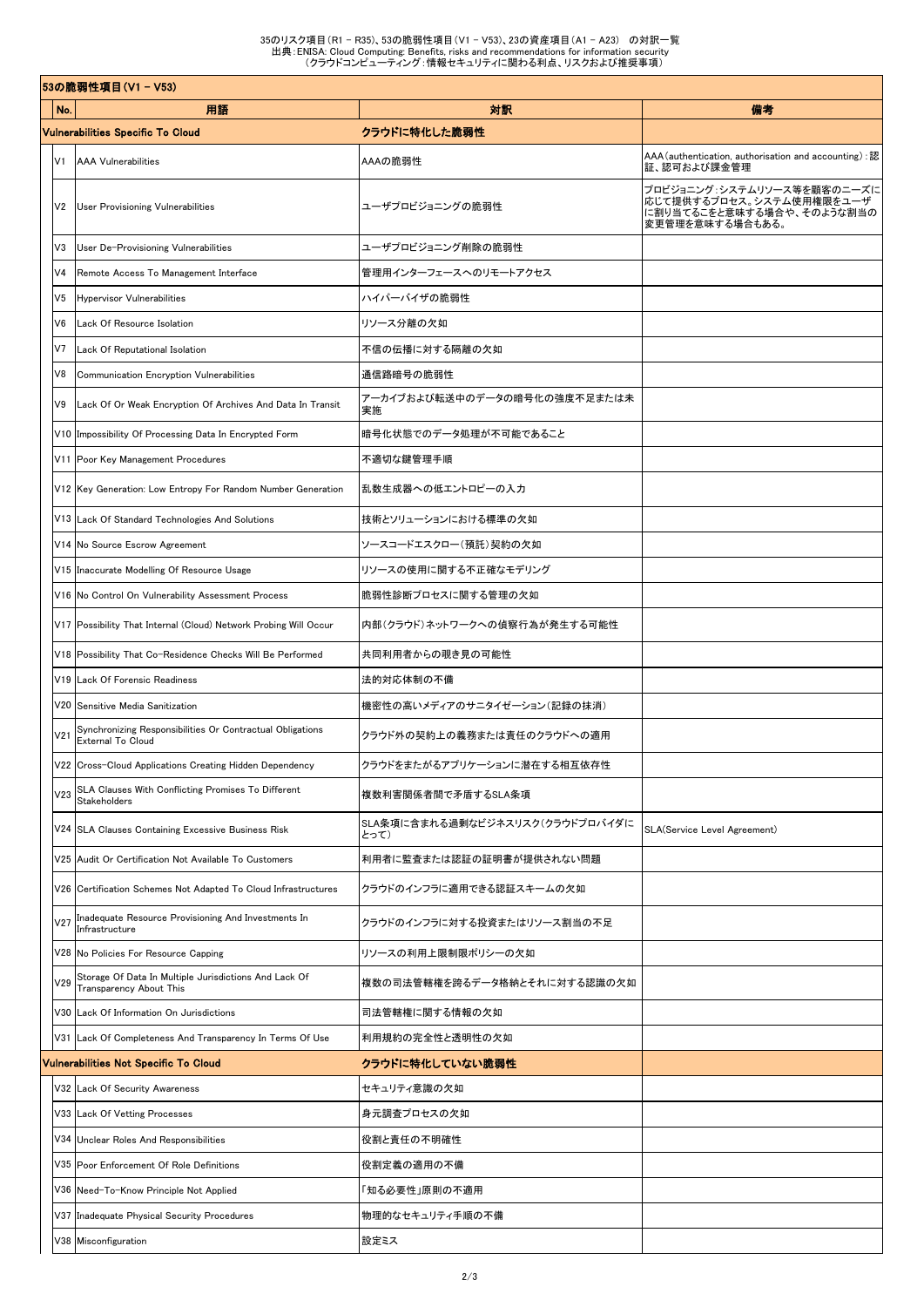|                 | 53の脆弱性項目(V1 – V53)                                                                      |                                         |                                                                                                        |
|-----------------|-----------------------------------------------------------------------------------------|-----------------------------------------|--------------------------------------------------------------------------------------------------------|
| No.             | 用語                                                                                      | 对訳                                      | 備考                                                                                                     |
|                 | Vulnerabilities Specific To Cloud                                                       | クラウドに特化した脆弱性                            |                                                                                                        |
| V1              | <b>AAA Vulnerabilities</b>                                                              | AAAの脆弱性                                 | AAA (authentication, authorisation and accounting) :認<br>証、認可および課金管理                                   |
| V2              | <b>User Provisioning Vulnerabilities</b>                                                | ユーザプロビジョニングの脆弱性                         | プロビジョニング:システムリソース等を顧客のニーズに<br>応じて提供するプロセス。システム使用権限をユーザ<br>に割り当てるこをと意味する場合や、そのような割当の<br>変更管理を意味する場合もある。 |
| V3              | User De-Provisioning Vulnerabilities                                                    | ユーザプロビジョニング削除の脆弱性                       |                                                                                                        |
| V <sub>4</sub>  | Remote Access To Management Interface                                                   | 管理用インターフェースへのリモートアクセス                   |                                                                                                        |
| V <sub>5</sub>  | <b>Hypervisor Vulnerabilities</b>                                                       | ハイパーバイザの脆弱性                             |                                                                                                        |
| V6              | Lack Of Resource Isolation                                                              | リソース分離の欠如                               |                                                                                                        |
| V <sub>7</sub>  | Lack Of Reputational Isolation                                                          | 不信の伝播に対する隔離の欠如                          |                                                                                                        |
| V8              | Communication Encryption Vulnerabilities                                                | 通信路暗号の脆弱性                               |                                                                                                        |
| V9              | Lack Of Or Weak Encryption Of Archives And Data In Transit                              | アーカイブおよび転送中のデータの暗号化の強度不足または未<br>実施      |                                                                                                        |
|                 | V10 Impossibility Of Processing Data In Encrypted Form                                  | 暗号化状態でのデータ処理が不可能であること                   |                                                                                                        |
|                 | V11 Poor Key Management Procedures                                                      | 不適切な鍵管理手順                               |                                                                                                        |
|                 | V12 Key Generation: Low Entropy For Random Number Generation                            | 乱数生成器への低エントロピーの入力                       |                                                                                                        |
|                 | V13 Lack Of Standard Technologies And Solutions                                         | 技術とソリューションにおける標準の欠如                     |                                                                                                        |
|                 | V14 No Source Escrow Agreement                                                          | ソースコードエスクロー(預託)契約の欠如                    |                                                                                                        |
|                 | V15 Inaccurate Modelling Of Resource Usage                                              | リソースの使用に関する不正確なモデリング                    |                                                                                                        |
|                 | V16 No Control On Vulnerability Assessment Process                                      | 脆弱性診断プロセスに関する管理の欠如                      |                                                                                                        |
|                 | V17 Possibility That Internal (Cloud) Network Probing Will Occur                        | 内部(クラウド)ネットワークへの偵察行為が発生する可能性            |                                                                                                        |
|                 | V18 Possibility That Co-Residence Checks Will Be Performed                              | 共同利用者からの覗き見の可能性                         |                                                                                                        |
|                 | V19 Lack Of Forensic Readiness                                                          | 法的対応体制の不備                               |                                                                                                        |
|                 | V20 Sensitive Media Sanitization                                                        | 機密性の高いメディアのサニタイゼーション(記録の抹消)             |                                                                                                        |
| V <sub>21</sub> | Synchronizing Responsibilities Or Contractual Obligations<br>External To Cloud          | クラウド外の契約上の義務または責任のクラウドへの適用              |                                                                                                        |
|                 | V22 Cross-Cloud Applications Creating Hidden Dependency                                 | クラウドをまたがるアプリケーションに潜在する相互依存性             |                                                                                                        |
| V <sub>23</sub> | SLA Clauses With Conflicting Promises To Different<br>Stakeholders                      | 複数利害関係者間で矛盾するSLA条項                      |                                                                                                        |
|                 | V24 SLA Clauses Containing Excessive Business Risk                                      | SLA条項に含まれる過剰なビジネスリスク(クラウドプロバイダに<br>とって) | SLA(Service Level Agreement)                                                                           |
|                 | V25 Audit Or Certification Not Available To Customers                                   | 利用者に監査または認証の証明書が提供されない問題                |                                                                                                        |
|                 | V26 Certification Schemes Not Adapted To Cloud Infrastructures                          | クラウドのインフラに適用できる認証スキームの欠如                |                                                                                                        |
| V <sub>27</sub> | Inadequate Resource Provisioning And Investments In<br>Infrastructure                   | クラウドのインフラに対する投資またはリソース割当の不足             |                                                                                                        |
|                 | V28 No Policies For Resource Capping                                                    | リソースの利用上限制限ポリシーの欠如                      |                                                                                                        |
| V29             | Storage Of Data In Multiple Jurisdictions And Lack Of<br><b>Transparency About This</b> | 複数の司法管轄権を跨るデータ格納とそれに対する認識の欠如            |                                                                                                        |
|                 | V30 Lack Of Information On Jurisdictions                                                | 司法管轄権に関する情報の欠如                          |                                                                                                        |
| V31             | Lack Of Completeness And Transparency In Terms Of Use                                   | 利用規約の完全性と透明性の欠如                         |                                                                                                        |
|                 | Vulnerabilities Not Specific To Cloud                                                   | クラウドに特化していない脆弱性                         |                                                                                                        |
|                 | V32 Lack Of Security Awareness                                                          | セキュリティ意識の欠如                             |                                                                                                        |
|                 | V33 Lack Of Vetting Processes                                                           | 身元調査プロセスの欠如                             |                                                                                                        |
|                 | V34 Unclear Roles And Responsibilities                                                  | 役割と責任の不明確性                              |                                                                                                        |
|                 | V35 Poor Enforcement Of Role Definitions                                                | 役割定義の適用の不備                              |                                                                                                        |
|                 | V36 Need-To-Know Principle Not Applied                                                  | 「知る必要性」原則の不適用                           |                                                                                                        |
|                 | V37 Inadequate Physical Security Procedures                                             | 物理的なセキュリティ手順の不備                         |                                                                                                        |
|                 | V38 Misconfiguration                                                                    | 設定ミス                                    |                                                                                                        |